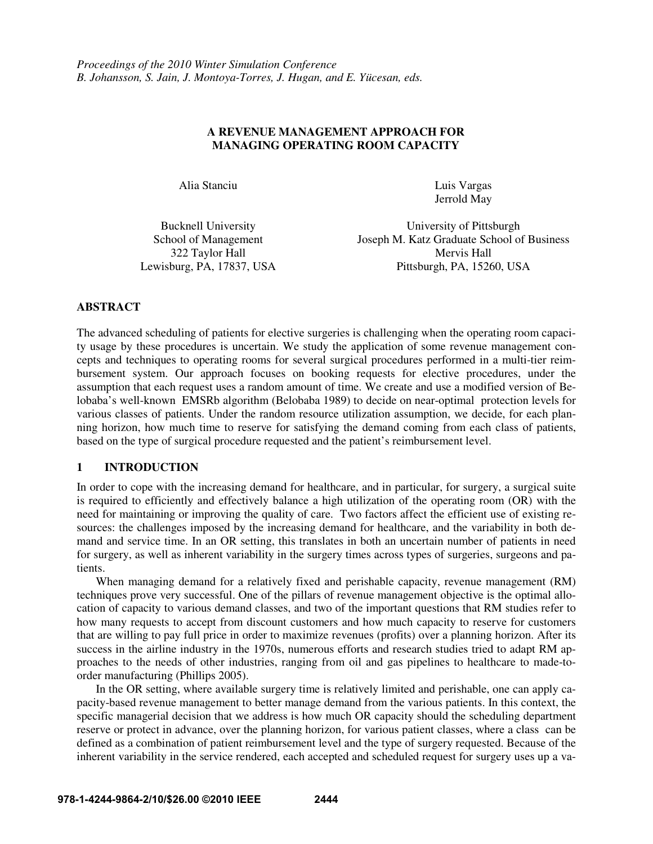# **A REVENUE MANAGEMENT APPROACH FOR MANAGING OPERATING ROOM CAPACITY**

Alia Stanciu Luis Vargas

Jerrold May

Bucknell University University University of Pittsburgh School of Management Joseph M. Katz Graduate School of Business 322 Taylor Hall Mervis Hall Lewisburg, PA, 17837, USA Pittsburgh, PA, 15260, USA

### **ABSTRACT**

The advanced scheduling of patients for elective surgeries is challenging when the operating room capacity usage by these procedures is uncertain. We study the application of some revenue management concepts and techniques to operating rooms for several surgical procedures performed in a multi-tier reimbursement system. Our approach focuses on booking requests for elective procedures, under the assumption that each request uses a random amount of time. We create and use a modified version of Belobaba's well-known EMSRb algorithm (Belobaba 1989) to decide on near-optimal protection levels for various classes of patients. Under the random resource utilization assumption, we decide, for each planning horizon, how much time to reserve for satisfying the demand coming from each class of patients, based on the type of surgical procedure requested and the patient's reimbursement level.

### **1 INTRODUCTION**

In order to cope with the increasing demand for healthcare, and in particular, for surgery, a surgical suite is required to efficiently and effectively balance a high utilization of the operating room (OR) with the need for maintaining or improving the quality of care. Two factors affect the efficient use of existing resources: the challenges imposed by the increasing demand for healthcare, and the variability in both demand and service time. In an OR setting, this translates in both an uncertain number of patients in need for surgery, as well as inherent variability in the surgery times across types of surgeries, surgeons and patients.

When managing demand for a relatively fixed and perishable capacity, revenue management (RM) techniques prove very successful. One of the pillars of revenue management objective is the optimal allocation of capacity to various demand classes, and two of the important questions that RM studies refer to how many requests to accept from discount customers and how much capacity to reserve for customers that are willing to pay full price in order to maximize revenues (profits) over a planning horizon. After its success in the airline industry in the 1970s, numerous efforts and research studies tried to adapt RM approaches to the needs of other industries, ranging from oil and gas pipelines to healthcare to made-toorder manufacturing (Phillips 2005).

 In the OR setting, where available surgery time is relatively limited and perishable, one can apply capacity-based revenue management to better manage demand from the various patients. In this context, the specific managerial decision that we address is how much OR capacity should the scheduling department reserve or protect in advance, over the planning horizon, for various patient classes, where a class can be defined as a combination of patient reimbursement level and the type of surgery requested. Because of the inherent variability in the service rendered, each accepted and scheduled request for surgery uses up a va-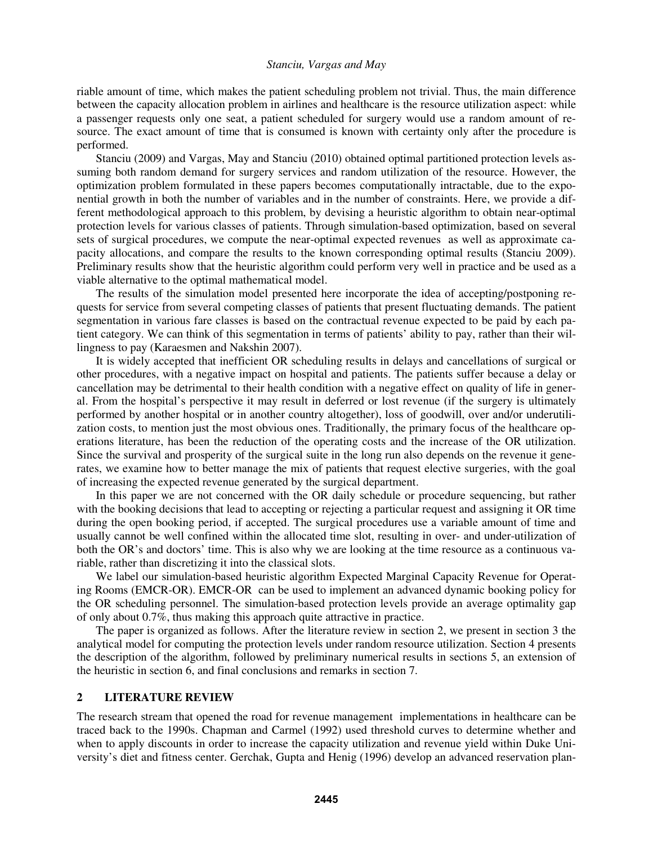riable amount of time, which makes the patient scheduling problem not trivial. Thus, the main difference between the capacity allocation problem in airlines and healthcare is the resource utilization aspect: while a passenger requests only one seat, a patient scheduled for surgery would use a random amount of resource. The exact amount of time that is consumed is known with certainty only after the procedure is performed.

 Stanciu (2009) and Vargas, May and Stanciu (2010) obtained optimal partitioned protection levels assuming both random demand for surgery services and random utilization of the resource. However, the optimization problem formulated in these papers becomes computationally intractable, due to the exponential growth in both the number of variables and in the number of constraints. Here, we provide a different methodological approach to this problem, by devising a heuristic algorithm to obtain near-optimal protection levels for various classes of patients. Through simulation-based optimization, based on several sets of surgical procedures, we compute the near-optimal expected revenues as well as approximate capacity allocations, and compare the results to the known corresponding optimal results (Stanciu 2009). Preliminary results show that the heuristic algorithm could perform very well in practice and be used as a viable alternative to the optimal mathematical model.

 The results of the simulation model presented here incorporate the idea of accepting/postponing requests for service from several competing classes of patients that present fluctuating demands. The patient segmentation in various fare classes is based on the contractual revenue expected to be paid by each patient category. We can think of this segmentation in terms of patients' ability to pay, rather than their willingness to pay (Karaesmen and Nakshin 2007).

 It is widely accepted that inefficient OR scheduling results in delays and cancellations of surgical or other procedures, with a negative impact on hospital and patients. The patients suffer because a delay or cancellation may be detrimental to their health condition with a negative effect on quality of life in general. From the hospital's perspective it may result in deferred or lost revenue (if the surgery is ultimately performed by another hospital or in another country altogether), loss of goodwill, over and/or underutilization costs, to mention just the most obvious ones. Traditionally, the primary focus of the healthcare operations literature, has been the reduction of the operating costs and the increase of the OR utilization. Since the survival and prosperity of the surgical suite in the long run also depends on the revenue it generates, we examine how to better manage the mix of patients that request elective surgeries, with the goal of increasing the expected revenue generated by the surgical department.

 In this paper we are not concerned with the OR daily schedule or procedure sequencing, but rather with the booking decisions that lead to accepting or rejecting a particular request and assigning it OR time during the open booking period, if accepted. The surgical procedures use a variable amount of time and usually cannot be well confined within the allocated time slot, resulting in over- and under-utilization of both the OR's and doctors' time. This is also why we are looking at the time resource as a continuous variable, rather than discretizing it into the classical slots.

 We label our simulation-based heuristic algorithm Expected Marginal Capacity Revenue for Operating Rooms (EMCR-OR). EMCR-OR can be used to implement an advanced dynamic booking policy for the OR scheduling personnel. The simulation-based protection levels provide an average optimality gap of only about 0.7%, thus making this approach quite attractive in practice.

The paper is organized as follows. After the literature review in section 2, we present in section 3 the analytical model for computing the protection levels under random resource utilization. Section 4 presents the description of the algorithm, followed by preliminary numerical results in sections 5, an extension of the heuristic in section 6, and final conclusions and remarks in section 7.

# **2 LITERATURE REVIEW**

The research stream that opened the road for revenue management implementations in healthcare can be traced back to the 1990s. Chapman and Carmel (1992) used threshold curves to determine whether and when to apply discounts in order to increase the capacity utilization and revenue yield within Duke University's diet and fitness center. Gerchak, Gupta and Henig (1996) develop an advanced reservation plan-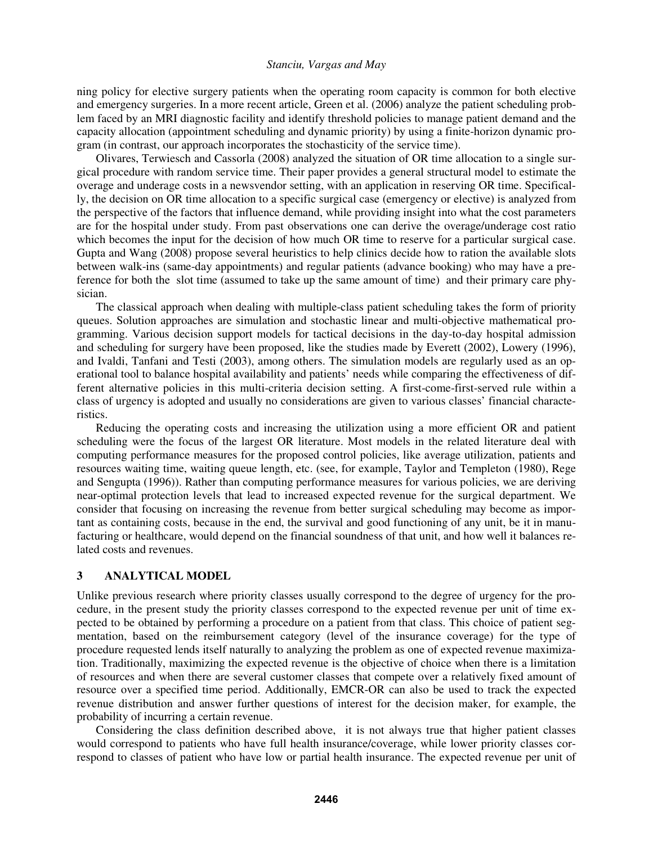ning policy for elective surgery patients when the operating room capacity is common for both elective and emergency surgeries. In a more recent article, Green et al. (2006) analyze the patient scheduling problem faced by an MRI diagnostic facility and identify threshold policies to manage patient demand and the capacity allocation (appointment scheduling and dynamic priority) by using a finite-horizon dynamic program (in contrast, our approach incorporates the stochasticity of the service time).

Olivares, Terwiesch and Cassorla (2008) analyzed the situation of OR time allocation to a single surgical procedure with random service time. Their paper provides a general structural model to estimate the overage and underage costs in a newsvendor setting, with an application in reserving OR time. Specifically, the decision on OR time allocation to a specific surgical case (emergency or elective) is analyzed from the perspective of the factors that influence demand, while providing insight into what the cost parameters are for the hospital under study. From past observations one can derive the overage/underage cost ratio which becomes the input for the decision of how much OR time to reserve for a particular surgical case. Gupta and Wang (2008) propose several heuristics to help clinics decide how to ration the available slots between walk-ins (same-day appointments) and regular patients (advance booking) who may have a preference for both the slot time (assumed to take up the same amount of time) and their primary care physician.

The classical approach when dealing with multiple-class patient scheduling takes the form of priority queues. Solution approaches are simulation and stochastic linear and multi-objective mathematical programming. Various decision support models for tactical decisions in the day-to-day hospital admission and scheduling for surgery have been proposed, like the studies made by Everett (2002), Lowery (1996), and Ivaldi, Tanfani and Testi (2003), among others. The simulation models are regularly used as an operational tool to balance hospital availability and patients' needs while comparing the effectiveness of different alternative policies in this multi-criteria decision setting. A first-come-first-served rule within a class of urgency is adopted and usually no considerations are given to various classes' financial characteristics.

 Reducing the operating costs and increasing the utilization using a more efficient OR and patient scheduling were the focus of the largest OR literature. Most models in the related literature deal with computing performance measures for the proposed control policies, like average utilization, patients and resources waiting time, waiting queue length, etc. (see, for example, Taylor and Templeton (1980), Rege and Sengupta (1996)). Rather than computing performance measures for various policies, we are deriving near-optimal protection levels that lead to increased expected revenue for the surgical department. We consider that focusing on increasing the revenue from better surgical scheduling may become as important as containing costs, because in the end, the survival and good functioning of any unit, be it in manufacturing or healthcare, would depend on the financial soundness of that unit, and how well it balances related costs and revenues.

### **3 ANALYTICAL MODEL**

Unlike previous research where priority classes usually correspond to the degree of urgency for the procedure, in the present study the priority classes correspond to the expected revenue per unit of time expected to be obtained by performing a procedure on a patient from that class. This choice of patient segmentation, based on the reimbursement category (level of the insurance coverage) for the type of procedure requested lends itself naturally to analyzing the problem as one of expected revenue maximization. Traditionally, maximizing the expected revenue is the objective of choice when there is a limitation of resources and when there are several customer classes that compete over a relatively fixed amount of resource over a specified time period. Additionally, EMCR-OR can also be used to track the expected revenue distribution and answer further questions of interest for the decision maker, for example, the probability of incurring a certain revenue.

 Considering the class definition described above, it is not always true that higher patient classes would correspond to patients who have full health insurance/coverage, while lower priority classes correspond to classes of patient who have low or partial health insurance. The expected revenue per unit of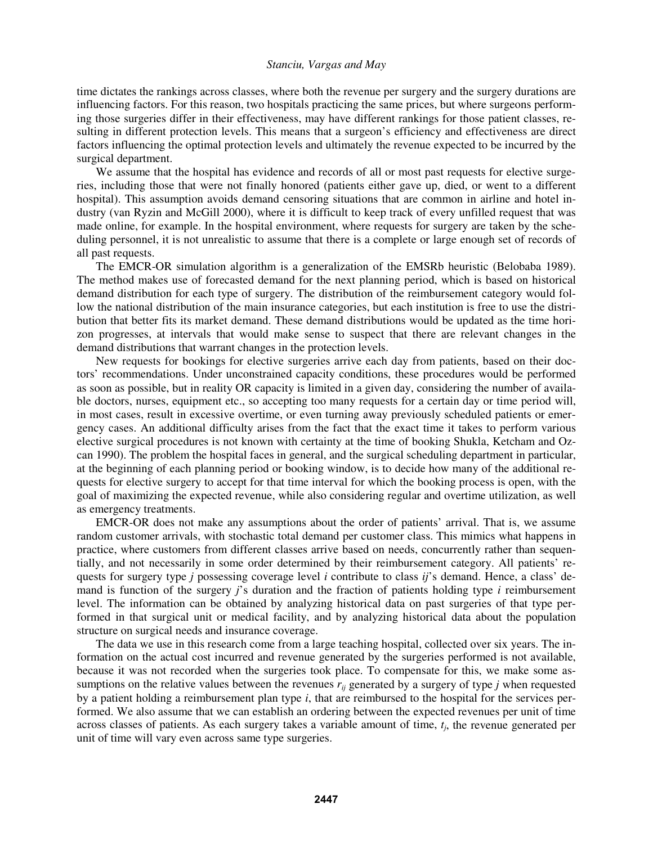time dictates the rankings across classes, where both the revenue per surgery and the surgery durations are influencing factors. For this reason, two hospitals practicing the same prices, but where surgeons performing those surgeries differ in their effectiveness, may have different rankings for those patient classes, resulting in different protection levels. This means that a surgeon's efficiency and effectiveness are direct factors influencing the optimal protection levels and ultimately the revenue expected to be incurred by the surgical department.

We assume that the hospital has evidence and records of all or most past requests for elective surgeries, including those that were not finally honored (patients either gave up, died, or went to a different hospital). This assumption avoids demand censoring situations that are common in airline and hotel industry (van Ryzin and McGill 2000), where it is difficult to keep track of every unfilled request that was made online, for example. In the hospital environment, where requests for surgery are taken by the scheduling personnel, it is not unrealistic to assume that there is a complete or large enough set of records of all past requests.

 The EMCR-OR simulation algorithm is a generalization of the EMSRb heuristic (Belobaba 1989). The method makes use of forecasted demand for the next planning period, which is based on historical demand distribution for each type of surgery. The distribution of the reimbursement category would follow the national distribution of the main insurance categories, but each institution is free to use the distribution that better fits its market demand. These demand distributions would be updated as the time horizon progresses, at intervals that would make sense to suspect that there are relevant changes in the demand distributions that warrant changes in the protection levels.

 New requests for bookings for elective surgeries arrive each day from patients, based on their doctors' recommendations. Under unconstrained capacity conditions, these procedures would be performed as soon as possible, but in reality OR capacity is limited in a given day, considering the number of available doctors, nurses, equipment etc., so accepting too many requests for a certain day or time period will, in most cases, result in excessive overtime, or even turning away previously scheduled patients or emergency cases. An additional difficulty arises from the fact that the exact time it takes to perform various elective surgical procedures is not known with certainty at the time of booking Shukla, Ketcham and Ozcan 1990). The problem the hospital faces in general, and the surgical scheduling department in particular, at the beginning of each planning period or booking window, is to decide how many of the additional requests for elective surgery to accept for that time interval for which the booking process is open, with the goal of maximizing the expected revenue, while also considering regular and overtime utilization, as well as emergency treatments.

 EMCR-OR does not make any assumptions about the order of patients' arrival. That is, we assume random customer arrivals, with stochastic total demand per customer class. This mimics what happens in practice, where customers from different classes arrive based on needs, concurrently rather than sequentially, and not necessarily in some order determined by their reimbursement category. All patients' requests for surgery type *j* possessing coverage level *i* contribute to class *ij*'s demand. Hence, a class' demand is function of the surgery *j*'s duration and the fraction of patients holding type *i* reimbursement level. The information can be obtained by analyzing historical data on past surgeries of that type performed in that surgical unit or medical facility, and by analyzing historical data about the population structure on surgical needs and insurance coverage.

 The data we use in this research come from a large teaching hospital, collected over six years. The information on the actual cost incurred and revenue generated by the surgeries performed is not available, because it was not recorded when the surgeries took place. To compensate for this, we make some assumptions on the relative values between the revenues  $r_{ij}$  generated by a surgery of type  $j$  when requested by a patient holding a reimbursement plan type *i*, that are reimbursed to the hospital for the services performed. We also assume that we can establish an ordering between the expected revenues per unit of time across classes of patients. As each surgery takes a variable amount of time, *tj*, the revenue generated per unit of time will vary even across same type surgeries.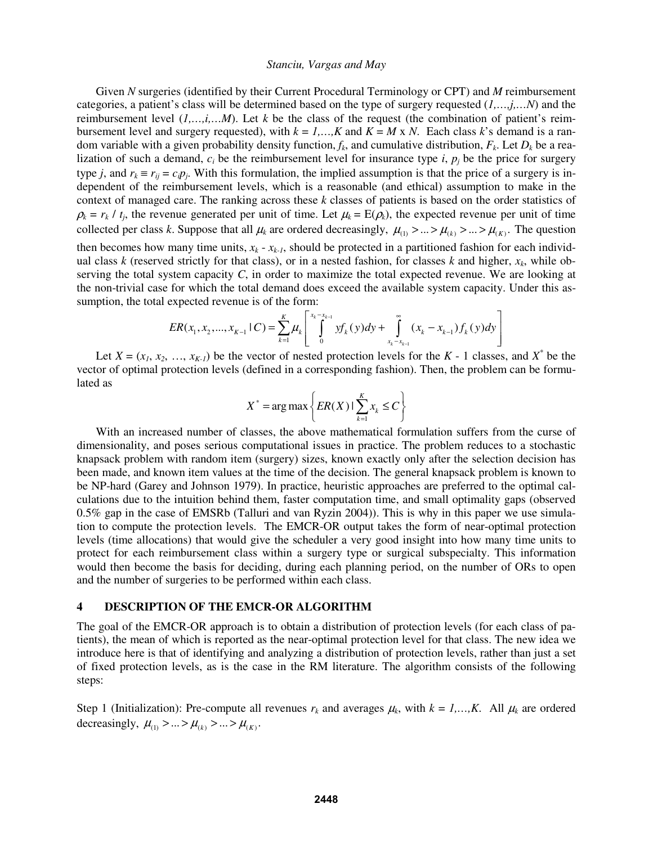Given *N* surgeries (identified by their Current Procedural Terminology or CPT) and *M* reimbursement categories, a patient's class will be determined based on the type of surgery requested (*1,…,j,…N*) and the reimbursement level (*1,…,i,…M*). Let *k* be the class of the request (the combination of patient's reimbursement level and surgery requested), with  $k = 1,...,K$  and  $K = M \times N$ . Each class k's demand is a random variable with a given probability density function,  $f_k$ , and cumulative distribution,  $F_k$ . Let  $D_k$  be a realization of such a demand,  $c_i$  be the reimbursement level for insurance type  $i$ ,  $p_j$  be the price for surgery type *j*, and  $r_k \equiv r_{ij} = c_i p_i$ . With this formulation, the implied assumption is that the price of a surgery is independent of the reimbursement levels, which is a reasonable (and ethical) assumption to make in the context of managed care. The ranking across these *k* classes of patients is based on the order statistics of  $\rho_k = r_k / t_i$ , the revenue generated per unit of time. Let  $\mu_k = E(\rho_k)$ , the expected revenue per unit of time collected per class *k*. Suppose that all  $\mu_k$  are ordered decreasingly,  $\mu_{(1)} > ... > \mu_{(k)} > ... > \mu_{(K)}$ . The question then becomes how many time units,  $x_k - x_{k-1}$ , should be protected in a partitioned fashion for each individual class  $k$  (reserved strictly for that class), or in a nested fashion, for classes  $k$  and higher,  $x_k$ , while observing the total system capacity *C*, in order to maximize the total expected revenue. We are looking at the non-trivial case for which the total demand does exceed the available system capacity. Under this assumption, the total expected revenue is of the form:

$$
ER(x_1, x_2,..., x_{K-1} \mid C) = \sum_{k=1}^{K} \mu_k \left[ \int_0^{x_k - x_{k-1}} y f_k(y) dy + \int_{x_k - x_{k-1}}^{\infty} (x_k - x_{k-1}) f_k(y) dy \right]
$$

Let  $X = (x_1, x_2, ..., x_{K-1})$  be the vector of nested protection levels for the  $K - 1$  classes, and  $X^*$  be the vector of optimal protection levels (defined in a corresponding fashion). Then, the problem can be formulated as

$$
X^* = \arg \max \left\{ ER(X) \mid \sum_{k=1}^{K} x_k \le C \right\}
$$

 With an increased number of classes, the above mathematical formulation suffers from the curse of dimensionality, and poses serious computational issues in practice. The problem reduces to a stochastic knapsack problem with random item (surgery) sizes, known exactly only after the selection decision has been made, and known item values at the time of the decision. The general knapsack problem is known to be NP-hard (Garey and Johnson 1979). In practice, heuristic approaches are preferred to the optimal calculations due to the intuition behind them, faster computation time, and small optimality gaps (observed 0.5% gap in the case of EMSRb (Talluri and van Ryzin 2004)). This is why in this paper we use simulation to compute the protection levels. The EMCR-OR output takes the form of near-optimal protection levels (time allocations) that would give the scheduler a very good insight into how many time units to protect for each reimbursement class within a surgery type or surgical subspecialty. This information would then become the basis for deciding, during each planning period, on the number of ORs to open and the number of surgeries to be performed within each class.

# **4 DESCRIPTION OF THE EMCR-OR ALGORITHM**

The goal of the EMCR-OR approach is to obtain a distribution of protection levels (for each class of patients), the mean of which is reported as the near-optimal protection level for that class. The new idea we introduce here is that of identifying and analyzing a distribution of protection levels, rather than just a set of fixed protection levels, as is the case in the RM literature. The algorithm consists of the following steps:

Step 1 (Initialization): Pre-compute all revenues  $r_k$  and averages  $\mu_k$ , with  $k = 1,...,K$ . All  $\mu_k$  are ordered decreasingly,  $\mu_{(1)} > ... > \mu_{(k)} > ... > \mu_{(K)}$ .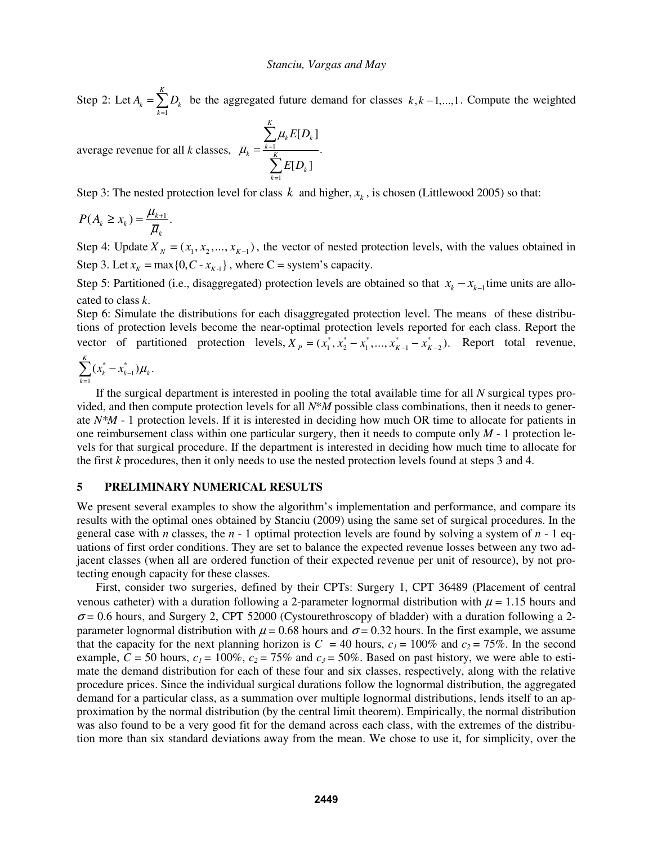Step 2: Let 1 *K*  $\sum_{k=1}^{k}$  $A_k = \sum D_k$ =  $=\sum_{k=0}^{n} D_k$  be the aggregated future demand for classes  $k, k-1, ..., 1$ . Compute the weighted

average revenue for all *k* classes, 
$$
\overline{\mu}_k = \frac{\sum_{k=1}^{K} \mu_k E[D_k]}{\sum_{k=1}^{K} E[D_k]}
$$
.

Step 3: The nested protection level for class  $k$  and higher,  $x_k$ , is chosen (Littlewood 2005) so that:

$$
P(A_k \ge x_k) = \frac{\mu_{k+1}}{\overline{\mu}_k}.
$$

Step 4: Update  $X_N = (x_1, x_2, ..., x_{K-1})$ , the vector of nested protection levels, with the values obtained in Step 3. Let  $x_K = \max\{0, C - x_{K-1}\}\$ , where C = system's capacity.

Step 5: Partitioned (i.e., disaggregated) protection levels are obtained so that  $x_k - x_{k-1}$  time units are allocated to class *k*.

Step 6: Simulate the distributions for each disaggregated protection level. The means of these distributions of protection levels become the near-optimal protection levels reported for each class. Report the vector of partitioned protection levels,  $X_p = (x_1^*, x_2^* - x_1^*, ..., x_{K-1}^* - x_{K-2}^*)$ . Report total revenue,

$$
\sum_{k=1}^K (x_k^* - x_{k-1}^*) \mu_k.
$$

 If the surgical department is interested in pooling the total available time for all *N* surgical types provided, and then compute protection levels for all  $N^*M$  possible class combinations, then it needs to generate *N\*M* - 1 protection levels. If it is interested in deciding how much OR time to allocate for patients in one reimbursement class within one particular surgery, then it needs to compute only *M* - 1 protection levels for that surgical procedure. If the department is interested in deciding how much time to allocate for the first *k* procedures, then it only needs to use the nested protection levels found at steps 3 and 4.

#### **5 PRELIMINARY NUMERICAL RESULTS**

We present several examples to show the algorithm's implementation and performance, and compare its results with the optimal ones obtained by Stanciu (2009) using the same set of surgical procedures. In the general case with *n* classes, the *n* - 1 optimal protection levels are found by solving a system of *n* - 1 equations of first order conditions. They are set to balance the expected revenue losses between any two adjacent classes (when all are ordered function of their expected revenue per unit of resource), by not protecting enough capacity for these classes.

 First, consider two surgeries, defined by their CPTs: Surgery 1, CPT 36489 (Placement of central venous catheter) with a duration following a 2-parameter lognormal distribution with  $\mu$  = 1.15 hours and  $\sigma$  = 0.6 hours, and Surgery 2, CPT 52000 (Cystourethroscopy of bladder) with a duration following a 2parameter lognormal distribution with  $\mu$  = 0.68 hours and  $\sigma$  = 0.32 hours. In the first example, we assume that the capacity for the next planning horizon is  $C = 40$  hours,  $c_1 = 100\%$  and  $c_2 = 75\%$ . In the second example,  $C = 50$  hours,  $c_1 = 100\%$ ,  $c_2 = 75\%$  and  $c_3 = 50\%$ . Based on past history, we were able to estimate the demand distribution for each of these four and six classes, respectively, along with the relative procedure prices. Since the individual surgical durations follow the lognormal distribution, the aggregated demand for a particular class, as a summation over multiple lognormal distributions, lends itself to an approximation by the normal distribution (by the central limit theorem). Empirically, the normal distribution was also found to be a very good fit for the demand across each class, with the extremes of the distribution more than six standard deviations away from the mean. We chose to use it, for simplicity, over the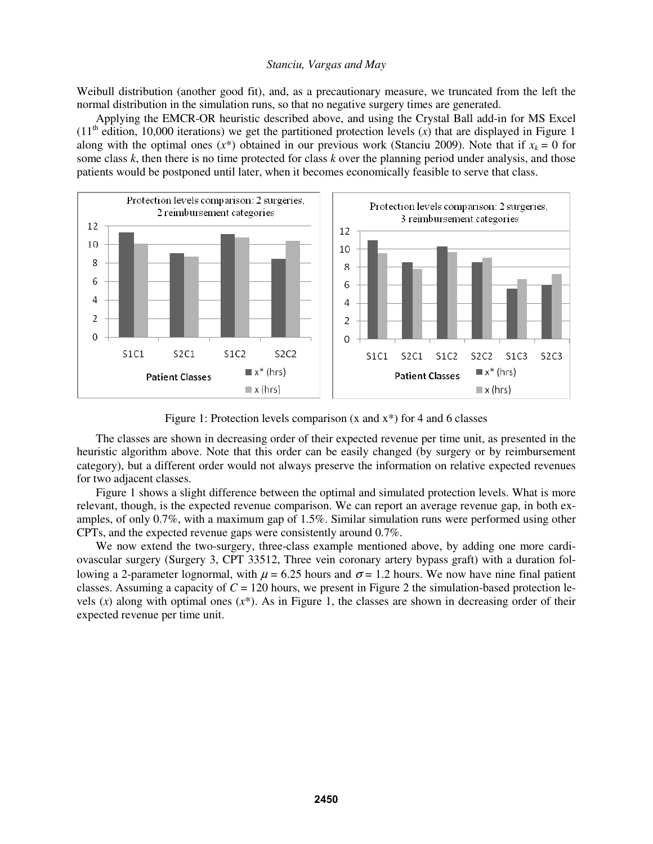Weibull distribution (another good fit), and, as a precautionary measure, we truncated from the left the normal distribution in the simulation runs, so that no negative surgery times are generated.

Applying the EMCR-OR heuristic described above, and using the Crystal Ball add-in for MS Excel  $(11<sup>th</sup>$  edition, 10,000 iterations) we get the partitioned protection levels  $(x)$  that are displayed in Figure 1 along with the optimal ones  $(x^*)$  obtained in our previous work (Stanciu 2009). Note that if  $x_k = 0$  for some class *k*, then there is no time protected for class *k* over the planning period under analysis, and those patients would be postponed until later, when it becomes economically feasible to serve that class.



Figure 1: Protection levels comparison  $(x \text{ and } x^*)$  for 4 and 6 classes

 The classes are shown in decreasing order of their expected revenue per time unit, as presented in the heuristic algorithm above. Note that this order can be easily changed (by surgery or by reimbursement category), but a different order would not always preserve the information on relative expected revenues for two adjacent classes.

 Figure 1 shows a slight difference between the optimal and simulated protection levels. What is more relevant, though, is the expected revenue comparison. We can report an average revenue gap, in both examples, of only 0.7%, with a maximum gap of 1.5%. Similar simulation runs were performed using other CPTs, and the expected revenue gaps were consistently around 0.7%.

We now extend the two-surgery, three-class example mentioned above, by adding one more cardiovascular surgery (Surgery 3, CPT 33512, Three vein coronary artery bypass graft) with a duration following a 2-parameter lognormal, with  $\mu$  = 6.25 hours and  $\sigma$  = 1.2 hours. We now have nine final patient classes. Assuming a capacity of  $C = 120$  hours, we present in Figure 2 the simulation-based protection levels  $(x)$  along with optimal ones  $(x^*)$ . As in Figure 1, the classes are shown in decreasing order of their expected revenue per time unit.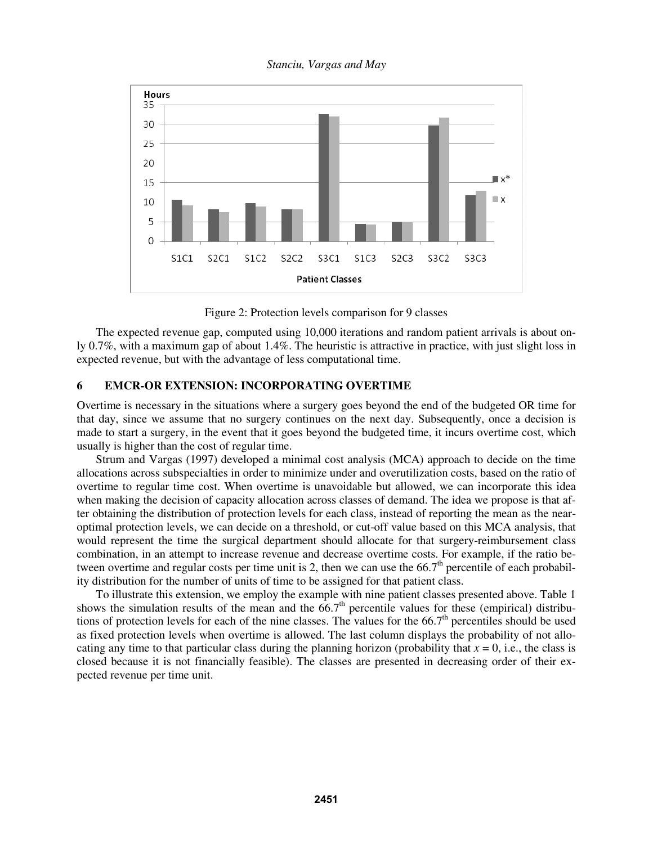*Stanciu, Vargas and May* 



Figure 2: Protection levels comparison for 9 classes

 The expected revenue gap, computed using 10,000 iterations and random patient arrivals is about only 0.7%, with a maximum gap of about 1.4%. The heuristic is attractive in practice, with just slight loss in expected revenue, but with the advantage of less computational time.

# **6 EMCR-OR EXTENSION: INCORPORATING OVERTIME**

Overtime is necessary in the situations where a surgery goes beyond the end of the budgeted OR time for that day, since we assume that no surgery continues on the next day. Subsequently, once a decision is made to start a surgery, in the event that it goes beyond the budgeted time, it incurs overtime cost, which usually is higher than the cost of regular time.

 Strum and Vargas (1997) developed a minimal cost analysis (MCA) approach to decide on the time allocations across subspecialties in order to minimize under and overutilization costs, based on the ratio of overtime to regular time cost. When overtime is unavoidable but allowed, we can incorporate this idea when making the decision of capacity allocation across classes of demand. The idea we propose is that after obtaining the distribution of protection levels for each class, instead of reporting the mean as the nearoptimal protection levels, we can decide on a threshold, or cut-off value based on this MCA analysis, that would represent the time the surgical department should allocate for that surgery-reimbursement class combination, in an attempt to increase revenue and decrease overtime costs. For example, if the ratio between overtime and regular costs per time unit is 2, then we can use the  $66.7<sup>th</sup>$  percentile of each probability distribution for the number of units of time to be assigned for that patient class.

 To illustrate this extension, we employ the example with nine patient classes presented above. Table 1 shows the simulation results of the mean and the  $66.7<sup>th</sup>$  percentile values for these (empirical) distributions of protection levels for each of the nine classes. The values for the  $66.7<sup>th</sup>$  percentiles should be used as fixed protection levels when overtime is allowed. The last column displays the probability of not allocating any time to that particular class during the planning horizon (probability that  $x = 0$ , i.e., the class is closed because it is not financially feasible). The classes are presented in decreasing order of their expected revenue per time unit.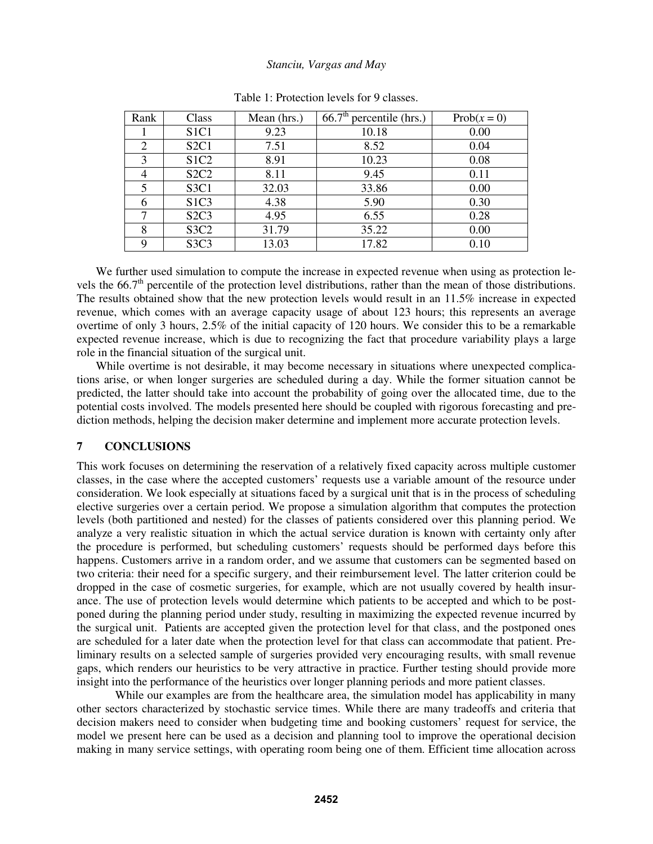| Rank | Class                         | Mean (hrs.) | $66.7^{\rm th}$<br>percentile (hrs.) | $Prob(x = 0)$ |
|------|-------------------------------|-------------|--------------------------------------|---------------|
|      | S1C1                          | 9.23        | 10.18                                | 0.00          |
| 2    | S2C1                          | 7.51        | 8.52                                 | 0.04          |
| 3    | S <sub>1</sub> C <sub>2</sub> | 8.91        | 10.23                                | 0.08          |
|      | S2C2                          | 8.11        | 9.45                                 | 0.11          |
| 5    | S3C1                          | 32.03       | 33.86                                | 0.00          |
| 6    | S1C3                          | 4.38        | 5.90                                 | 0.30          |
| ⇁    | S2C3                          | 4.95        | 6.55                                 | 0.28          |
| 8    | S3C2                          | 31.79       | 35.22                                | 0.00          |
| 9    | S <sub>3</sub> C <sub>3</sub> | 13.03       | 17.82                                | 0.10          |

| Table 1: Protection levels for 9 classes. |  |
|-------------------------------------------|--|
|-------------------------------------------|--|

We further used simulation to compute the increase in expected revenue when using as protection levels the 66.7th percentile of the protection level distributions, rather than the mean of those distributions. The results obtained show that the new protection levels would result in an 11.5% increase in expected revenue, which comes with an average capacity usage of about 123 hours; this represents an average overtime of only 3 hours, 2.5% of the initial capacity of 120 hours. We consider this to be a remarkable expected revenue increase, which is due to recognizing the fact that procedure variability plays a large role in the financial situation of the surgical unit.

 While overtime is not desirable, it may become necessary in situations where unexpected complications arise, or when longer surgeries are scheduled during a day. While the former situation cannot be predicted, the latter should take into account the probability of going over the allocated time, due to the potential costs involved. The models presented here should be coupled with rigorous forecasting and prediction methods, helping the decision maker determine and implement more accurate protection levels.

### **7 CONCLUSIONS**

This work focuses on determining the reservation of a relatively fixed capacity across multiple customer classes, in the case where the accepted customers' requests use a variable amount of the resource under consideration. We look especially at situations faced by a surgical unit that is in the process of scheduling elective surgeries over a certain period. We propose a simulation algorithm that computes the protection levels (both partitioned and nested) for the classes of patients considered over this planning period. We analyze a very realistic situation in which the actual service duration is known with certainty only after the procedure is performed, but scheduling customers' requests should be performed days before this happens. Customers arrive in a random order, and we assume that customers can be segmented based on two criteria: their need for a specific surgery, and their reimbursement level. The latter criterion could be dropped in the case of cosmetic surgeries, for example, which are not usually covered by health insurance. The use of protection levels would determine which patients to be accepted and which to be postponed during the planning period under study, resulting in maximizing the expected revenue incurred by the surgical unit. Patients are accepted given the protection level for that class, and the postponed ones are scheduled for a later date when the protection level for that class can accommodate that patient. Preliminary results on a selected sample of surgeries provided very encouraging results, with small revenue gaps, which renders our heuristics to be very attractive in practice. Further testing should provide more insight into the performance of the heuristics over longer planning periods and more patient classes.

While our examples are from the healthcare area, the simulation model has applicability in many other sectors characterized by stochastic service times. While there are many tradeoffs and criteria that decision makers need to consider when budgeting time and booking customers' request for service, the model we present here can be used as a decision and planning tool to improve the operational decision making in many service settings, with operating room being one of them. Efficient time allocation across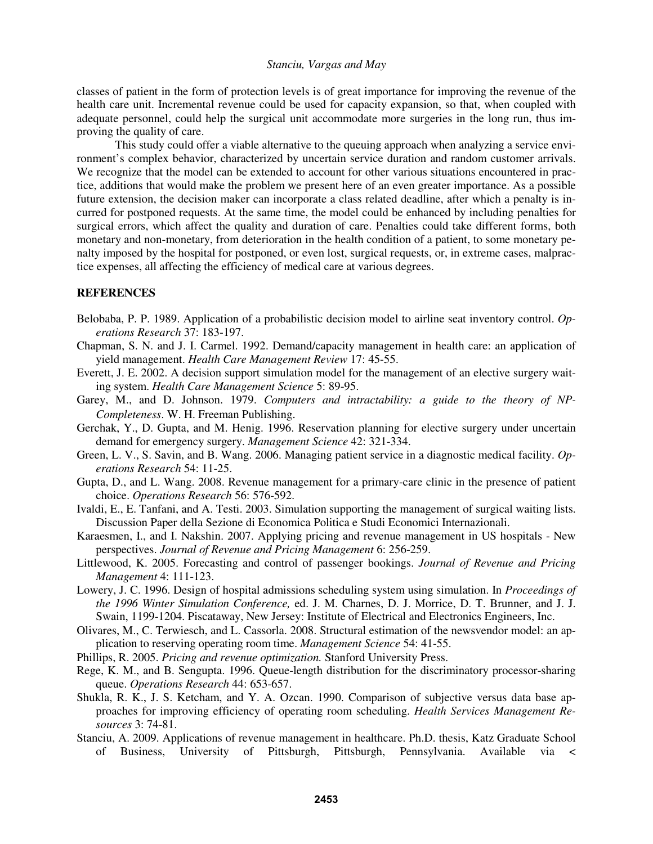classes of patient in the form of protection levels is of great importance for improving the revenue of the health care unit. Incremental revenue could be used for capacity expansion, so that, when coupled with adequate personnel, could help the surgical unit accommodate more surgeries in the long run, thus improving the quality of care.

This study could offer a viable alternative to the queuing approach when analyzing a service environment's complex behavior, characterized by uncertain service duration and random customer arrivals. We recognize that the model can be extended to account for other various situations encountered in practice, additions that would make the problem we present here of an even greater importance. As a possible future extension, the decision maker can incorporate a class related deadline, after which a penalty is incurred for postponed requests. At the same time, the model could be enhanced by including penalties for surgical errors, which affect the quality and duration of care. Penalties could take different forms, both monetary and non-monetary, from deterioration in the health condition of a patient, to some monetary penalty imposed by the hospital for postponed, or even lost, surgical requests, or, in extreme cases, malpractice expenses, all affecting the efficiency of medical care at various degrees.

# **REFERENCES**

- Belobaba, P. P. 1989. Application of a probabilistic decision model to airline seat inventory control. *Operations Research* 37: 183-197.
- Chapman, S. N. and J. I. Carmel. 1992. Demand/capacity management in health care: an application of yield management. *Health Care Management Review* 17: 45-55.
- Everett, J. E. 2002. A decision support simulation model for the management of an elective surgery waiting system. *Health Care Management Science* 5: 89-95.
- Garey, M., and D. Johnson. 1979. *Computers and intractability: a guide to the theory of NP-Completeness*. W. H. Freeman Publishing.
- Gerchak, Y., D. Gupta, and M. Henig. 1996. Reservation planning for elective surgery under uncertain demand for emergency surgery. *Management Science* 42: 321-334.
- Green, L. V., S. Savin, and B. Wang. 2006. Managing patient service in a diagnostic medical facility. *Operations Research* 54: 11-25.
- Gupta, D., and L. Wang. 2008. Revenue management for a primary-care clinic in the presence of patient choice. *Operations Research* 56: 576-592.
- Ivaldi, E., E. Tanfani, and A. Testi. 2003. Simulation supporting the management of surgical waiting lists. Discussion Paper della Sezione di Economica Politica e Studi Economici Internazionali.
- Karaesmen, I., and I. Nakshin. 2007. Applying pricing and revenue management in US hospitals New perspectives. *Journal of Revenue and Pricing Management* 6: 256-259.
- Littlewood, K. 2005. Forecasting and control of passenger bookings. *Journal of Revenue and Pricing Management* 4: 111-123.
- Lowery, J. C. 1996. Design of hospital admissions scheduling system using simulation. In *Proceedings of the 1996 Winter Simulation Conference,* ed. J. M. Charnes, D. J. Morrice, D. T. Brunner, and J. J. Swain, 1199-1204. Piscataway, New Jersey: Institute of Electrical and Electronics Engineers, Inc.
- Olivares, M., C. Terwiesch, and L. Cassorla. 2008. Structural estimation of the newsvendor model: an application to reserving operating room time. *Management Science* 54: 41-55.
- Phillips, R. 2005. *Pricing and revenue optimization.* Stanford University Press.
- Rege, K. M., and B. Sengupta. 1996. Queue-length distribution for the discriminatory processor-sharing queue. *Operations Research* 44: 653-657.
- Shukla, R. K., J. S. Ketcham, and Y. A. Ozcan. 1990. Comparison of subjective versus data base approaches for improving efficiency of operating room scheduling. *Health Services Management Resources* 3: 74-81.
- Stanciu, A. 2009. Applications of revenue management in healthcare. Ph.D. thesis, Katz Graduate School of Business, University of Pittsburgh, Pittsburgh, Pennsylvania. Available via <